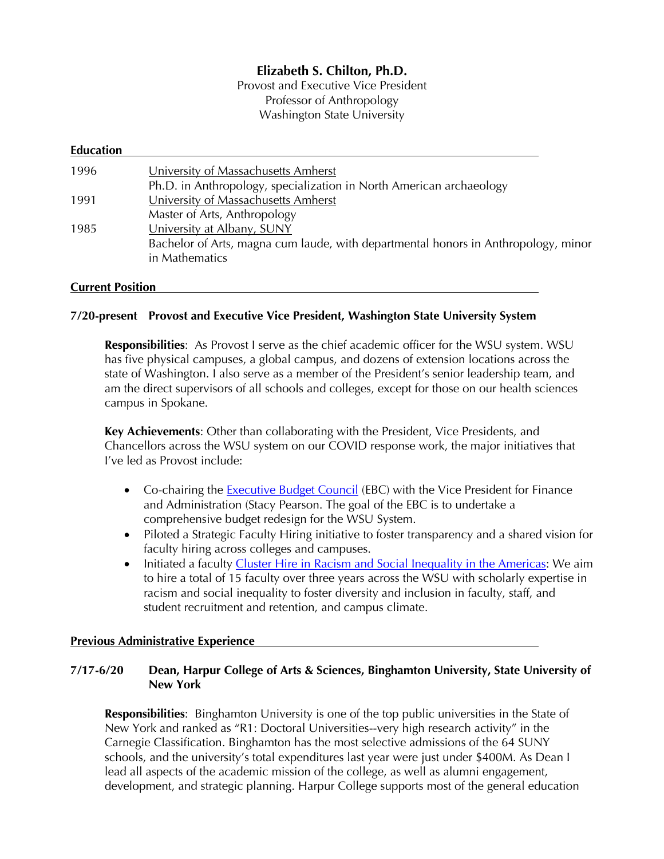# **Elizabeth S. Chilton, Ph.D.**

Provost and Executive Vice President Professor of Anthropology Washington State University

| <b>Education</b> |                                                                                    |
|------------------|------------------------------------------------------------------------------------|
| 1996             | University of Massachusetts Amherst                                                |
|                  | Ph.D. in Anthropology, specialization in North American archaeology                |
| 1991             | University of Massachusetts Amherst                                                |
|                  | Master of Arts, Anthropology                                                       |
| 1985             | University at Albany, SUNY                                                         |
|                  | Bachelor of Arts, magna cum laude, with departmental honors in Anthropology, minor |
|                  | in Mathematics                                                                     |
|                  |                                                                                    |

#### **Current Position**

#### **7/20-present Provost and Executive Vice President, Washington State University System**

**Responsibilities**: As Provost I serve as the chief academic officer for the WSU system. WSU has five physical campuses, a global campus, and dozens of extension locations across the state of Washington. I also serve as a member of the President's senior leadership team, and am the direct supervisors of all schools and colleges, except for those on our health sciences campus in Spokane.

**Key Achievements**: Other than collaborating with the President, Vice Presidents, and Chancellors across the WSU system on our COVID response work, the major initiatives that I've led as Provost include:

- Co-chairing the Executive Budget Council (EBC) with the Vice President for Finance and Administration (Stacy Pearson. The goal of the EBC is to undertake a comprehensive budget redesign for the WSU System.
- Piloted a Strategic Faculty Hiring initiative to foster transparency and a shared vision for faculty hiring across colleges and campuses.
- Initiated a faculty Cluster Hire in Racism and Social Inequality in the Americas: We aim to hire a total of 15 faculty over three years across the WSU with scholarly expertise in racism and social inequality to foster diversity and inclusion in faculty, staff, and student recruitment and retention, and campus climate.

#### **Previous Administrative Experience**

#### **7/17-6/20 Dean, Harpur College of Arts & Sciences, Binghamton University, State University of New York**

**Responsibilities**: Binghamton University is one of the top public universities in the State of New York and ranked as "R1: Doctoral Universities--very high research activity" in the Carnegie Classification. Binghamton has the most selective admissions of the 64 SUNY schools, and the university's total expenditures last year were just under \$400M. As Dean I lead all aspects of the academic mission of the college, as well as alumni engagement, development, and strategic planning. Harpur College supports most of the general education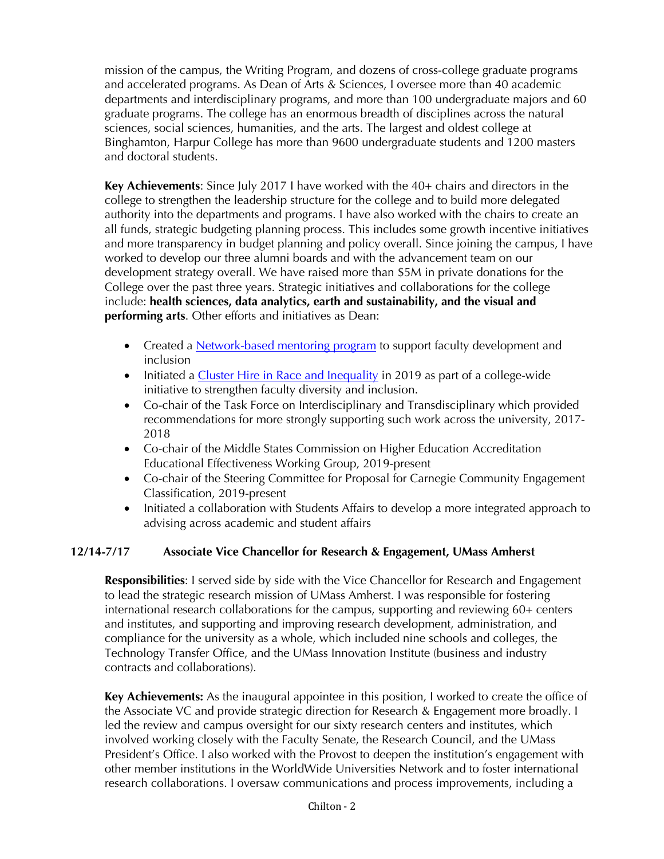mission of the campus, the Writing Program, and dozens of cross-college graduate programs and accelerated programs. As Dean of Arts & Sciences, I oversee more than 40 academic departments and interdisciplinary programs, and more than 100 undergraduate majors and 60 graduate programs. The college has an enormous breadth of disciplines across the natural sciences, social sciences, humanities, and the arts. The largest and oldest college at Binghamton, Harpur College has more than 9600 undergraduate students and 1200 masters and doctoral students.

**Key Achievements**: Since July 2017 I have worked with the 40+ chairs and directors in the college to strengthen the leadership structure for the college and to build more delegated authority into the departments and programs. I have also worked with the chairs to create an all funds, strategic budgeting planning process. This includes some growth incentive initiatives and more transparency in budget planning and policy overall. Since joining the campus, I have worked to develop our three alumni boards and with the advancement team on our development strategy overall. We have raised more than \$5M in private donations for the College over the past three years. Strategic initiatives and collaborations for the college include: **health sciences, data analytics, earth and sustainability, and the visual and performing arts**. Other efforts and initiatives as Dean:

- Created a **Network-based mentoring program** to support faculty development and inclusion
- Initiated a Cluster Hire in Race and Inequality in 2019 as part of a college-wide initiative to strengthen faculty diversity and inclusion.
- Co-chair of the Task Force on Interdisciplinary and Transdisciplinary which provided recommendations for more strongly supporting such work across the university, 2017- 2018
- Co-chair of the Middle States Commission on Higher Education Accreditation Educational Effectiveness Working Group, 2019-present
- Co-chair of the Steering Committee for Proposal for Carnegie Community Engagement Classification, 2019-present
- Initiated a collaboration with Students Affairs to develop a more integrated approach to advising across academic and student affairs

# **12/14-7/17 Associate Vice Chancellor for Research & Engagement, UMass Amherst**

**Responsibilities**: I served side by side with the Vice Chancellor for Research and Engagement to lead the strategic research mission of UMass Amherst. I was responsible for fostering international research collaborations for the campus, supporting and reviewing 60+ centers and institutes, and supporting and improving research development, administration, and compliance for the university as a whole, which included nine schools and colleges, the Technology Transfer Office, and the UMass Innovation Institute (business and industry contracts and collaborations).

**Key Achievements:** As the inaugural appointee in this position, I worked to create the office of the Associate VC and provide strategic direction for Research & Engagement more broadly. I led the review and campus oversight for our sixty research centers and institutes, which involved working closely with the Faculty Senate, the Research Council, and the UMass President's Office. I also worked with the Provost to deepen the institution's engagement with other member institutions in the WorldWide Universities Network and to foster international research collaborations. I oversaw communications and process improvements, including a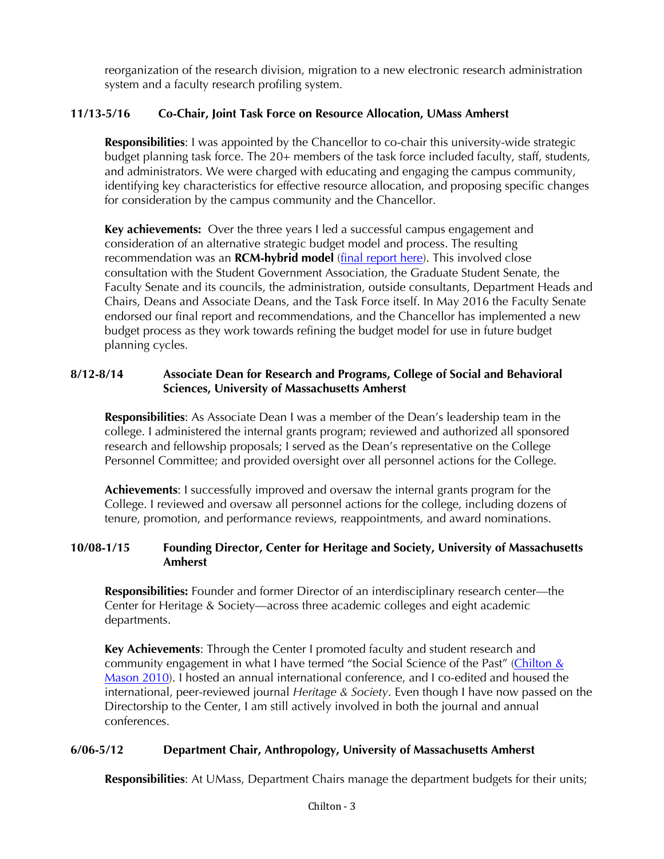reorganization of the research division, migration to a new electronic research administration system and a faculty research profiling system.

# **11/13-5/16 Co-Chair, Joint Task Force on Resource Allocation, UMass Amherst**

**Responsibilities**: I was appointed by the Chancellor to co-chair this university-wide strategic budget planning task force. The 20+ members of the task force included faculty, staff, students, and administrators. We were charged with educating and engaging the campus community, identifying key characteristics for effective resource allocation, and proposing specific changes for consideration by the campus community and the Chancellor.

**Key achievements:** Over the three years I led a successful campus engagement and consideration of an alternative strategic budget model and process. The resulting recommendation was an **RCM-hybrid model** (final report here). This involved close consultation with the Student Government Association, the Graduate Student Senate, the Faculty Senate and its councils, the administration, outside consultants, Department Heads and Chairs, Deans and Associate Deans, and the Task Force itself. In May 2016 the Faculty Senate endorsed our final report and recommendations, and the Chancellor has implemented a new budget process as they work towards refining the budget model for use in future budget planning cycles.

## **8/12-8/14 Associate Dean for Research and Programs, College of Social and Behavioral Sciences, University of Massachusetts Amherst**

**Responsibilities**: As Associate Dean I was a member of the Dean's leadership team in the college. I administered the internal grants program; reviewed and authorized all sponsored research and fellowship proposals; I served as the Dean's representative on the College Personnel Committee; and provided oversight over all personnel actions for the College.

**Achievements**: I successfully improved and oversaw the internal grants program for the College. I reviewed and oversaw all personnel actions for the college, including dozens of tenure, promotion, and performance reviews, reappointments, and award nominations.

#### **10/08-1/15 Founding Director, Center for Heritage and Society, University of Massachusetts Amherst**

**Responsibilities:** Founder and former Director of an interdisciplinary research center—the Center for Heritage & Society—across three academic colleges and eight academic departments.

**Key Achievements**: Through the Center I promoted faculty and student research and community engagement in what I have termed "the Social Science of the Past" (Chilton & Mason 2010). I hosted an annual international conference, and I co-edited and housed the international, peer-reviewed journal *Heritage & Society*. Even though I have now passed on the Directorship to the Center, I am still actively involved in both the journal and annual conferences.

# **6/06-5/12 Department Chair, Anthropology, University of Massachusetts Amherst**

**Responsibilities**: At UMass, Department Chairs manage the department budgets for their units;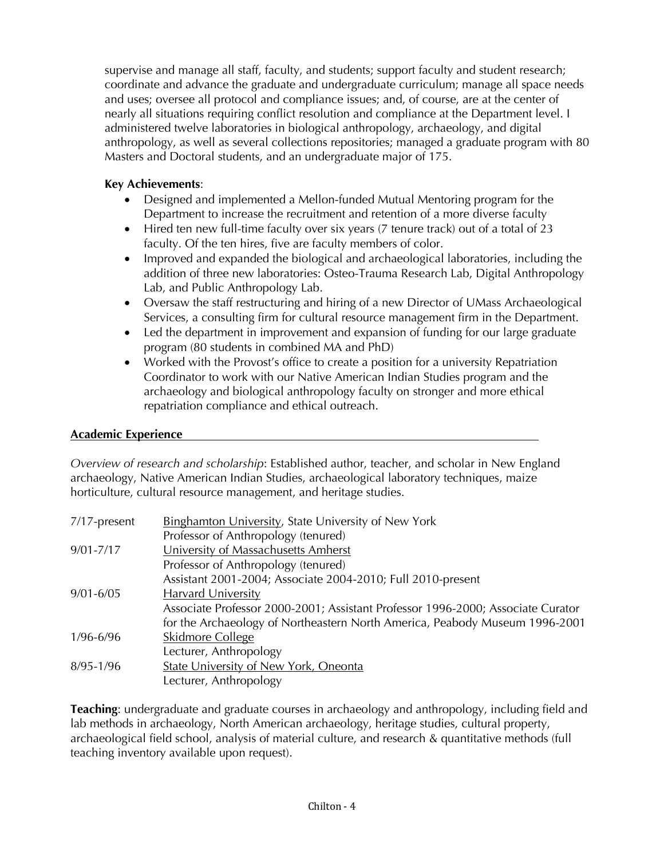supervise and manage all staff, faculty, and students; support faculty and student research; coordinate and advance the graduate and undergraduate curriculum; manage all space needs and uses; oversee all protocol and compliance issues; and, of course, are at the center of nearly all situations requiring conflict resolution and compliance at the Department level. I administered twelve laboratories in biological anthropology, archaeology, and digital anthropology, as well as several collections repositories; managed a graduate program with 80 Masters and Doctoral students, and an undergraduate major of 175.

## **Key Achievements**:

- Designed and implemented a Mellon-funded Mutual Mentoring program for the Department to increase the recruitment and retention of a more diverse faculty
- Hired ten new full-time faculty over six years (7 tenure track) out of a total of 23 faculty. Of the ten hires, five are faculty members of color.
- Improved and expanded the biological and archaeological laboratories, including the addition of three new laboratories: Osteo-Trauma Research Lab, Digital Anthropology Lab, and Public Anthropology Lab.
- Oversaw the staff restructuring and hiring of a new Director of UMass Archaeological Services, a consulting firm for cultural resource management firm in the Department.
- Led the department in improvement and expansion of funding for our large graduate program (80 students in combined MA and PhD)
- Worked with the Provost's office to create a position for a university Repatriation Coordinator to work with our Native American Indian Studies program and the archaeology and biological anthropology faculty on stronger and more ethical repatriation compliance and ethical outreach.

### **Academic Experience**

*Overview of research and scholarship*: Established author, teacher, and scholar in New England archaeology, Native American Indian Studies, archaeological laboratory techniques, maize horticulture, cultural resource management, and heritage studies.

| 7/17-present  | <b>Binghamton University, State University of New York</b>                      |
|---------------|---------------------------------------------------------------------------------|
|               | Professor of Anthropology (tenured)                                             |
| $9/01 - 7/17$ | University of Massachusetts Amherst                                             |
|               | Professor of Anthropology (tenured)                                             |
|               | Assistant 2001-2004; Associate 2004-2010; Full 2010-present                     |
| $9/01 - 6/05$ | <b>Harvard University</b>                                                       |
|               | Associate Professor 2000-2001; Assistant Professor 1996-2000; Associate Curator |
|               | for the Archaeology of Northeastern North America, Peabody Museum 1996-2001     |
| $1/96 - 6/96$ | <b>Skidmore College</b>                                                         |
|               | Lecturer, Anthropology                                                          |
| $8/95 - 1/96$ | <b>State University of New York, Oneonta</b>                                    |
|               | Lecturer, Anthropology                                                          |

**Teaching**: undergraduate and graduate courses in archaeology and anthropology, including field and lab methods in archaeology, North American archaeology, heritage studies, cultural property, archaeological field school, analysis of material culture, and research & quantitative methods (full teaching inventory available upon request).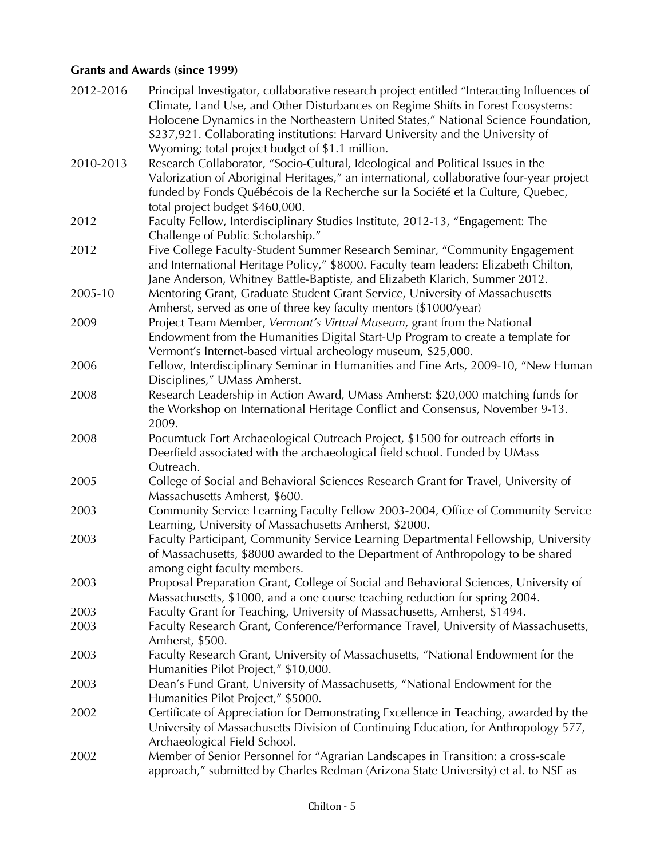# **Grants and Awards (since 1999)**

| 2012-2016 | Principal Investigator, collaborative research project entitled "Interacting Influences of<br>Climate, Land Use, and Other Disturbances on Regime Shifts in Forest Ecosystems:                                                                                 |
|-----------|----------------------------------------------------------------------------------------------------------------------------------------------------------------------------------------------------------------------------------------------------------------|
|           | Holocene Dynamics in the Northeastern United States," National Science Foundation,<br>\$237,921. Collaborating institutions: Harvard University and the University of                                                                                          |
|           | Wyoming; total project budget of \$1.1 million.                                                                                                                                                                                                                |
| 2010-2013 | Research Collaborator, "Socio-Cultural, Ideological and Political Issues in the<br>Valorization of Aboriginal Heritages," an international, collaborative four-year project<br>funded by Fonds Québécois de la Recherche sur la Société et la Culture, Quebec, |
|           | total project budget \$460,000.                                                                                                                                                                                                                                |
| 2012      | Faculty Fellow, Interdisciplinary Studies Institute, 2012-13, "Engagement: The<br>Challenge of Public Scholarship."                                                                                                                                            |
| 2012      | Five College Faculty-Student Summer Research Seminar, "Community Engagement<br>and International Heritage Policy," \$8000. Faculty team leaders: Elizabeth Chilton,<br>Jane Anderson, Whitney Battle-Baptiste, and Elizabeth Klarich, Summer 2012.             |
| 2005-10   | Mentoring Grant, Graduate Student Grant Service, University of Massachusetts<br>Amherst, served as one of three key faculty mentors (\$1000/year)                                                                                                              |
| 2009      | Project Team Member, Vermont's Virtual Museum, grant from the National<br>Endowment from the Humanities Digital Start-Up Program to create a template for<br>Vermont's Internet-based virtual archeology museum, \$25,000.                                     |
| 2006      | Fellow, Interdisciplinary Seminar in Humanities and Fine Arts, 2009-10, "New Human<br>Disciplines," UMass Amherst.                                                                                                                                             |
| 2008      | Research Leadership in Action Award, UMass Amherst: \$20,000 matching funds for<br>the Workshop on International Heritage Conflict and Consensus, November 9-13.<br>2009.                                                                                      |
| 2008      | Pocumtuck Fort Archaeological Outreach Project, \$1500 for outreach efforts in<br>Deerfield associated with the archaeological field school. Funded by UMass<br>Outreach.                                                                                      |
| 2005      | College of Social and Behavioral Sciences Research Grant for Travel, University of<br>Massachusetts Amherst, \$600.                                                                                                                                            |
| 2003      | Community Service Learning Faculty Fellow 2003-2004, Office of Community Service<br>Learning, University of Massachusetts Amherst, \$2000.                                                                                                                     |
| 2003      | Faculty Participant, Community Service Learning Departmental Fellowship, University<br>of Massachusetts, \$8000 awarded to the Department of Anthropology to be shared<br>among eight faculty members.                                                         |
| 2003      | Proposal Preparation Grant, College of Social and Behavioral Sciences, University of<br>Massachusetts, \$1000, and a one course teaching reduction for spring 2004.                                                                                            |
| 2003      | Faculty Grant for Teaching, University of Massachusetts, Amherst, \$1494.                                                                                                                                                                                      |
| 2003      | Faculty Research Grant, Conference/Performance Travel, University of Massachusetts,<br>Amherst, \$500.                                                                                                                                                         |
| 2003      | Faculty Research Grant, University of Massachusetts, "National Endowment for the<br>Humanities Pilot Project," \$10,000.                                                                                                                                       |
| 2003      | Dean's Fund Grant, University of Massachusetts, "National Endowment for the<br>Humanities Pilot Project," \$5000.                                                                                                                                              |
| 2002      | Certificate of Appreciation for Demonstrating Excellence in Teaching, awarded by the<br>University of Massachusetts Division of Continuing Education, for Anthropology 577,<br>Archaeological Field School.                                                    |
| 2002      | Member of Senior Personnel for "Agrarian Landscapes in Transition: a cross-scale<br>approach," submitted by Charles Redman (Arizona State University) et al. to NSF as                                                                                         |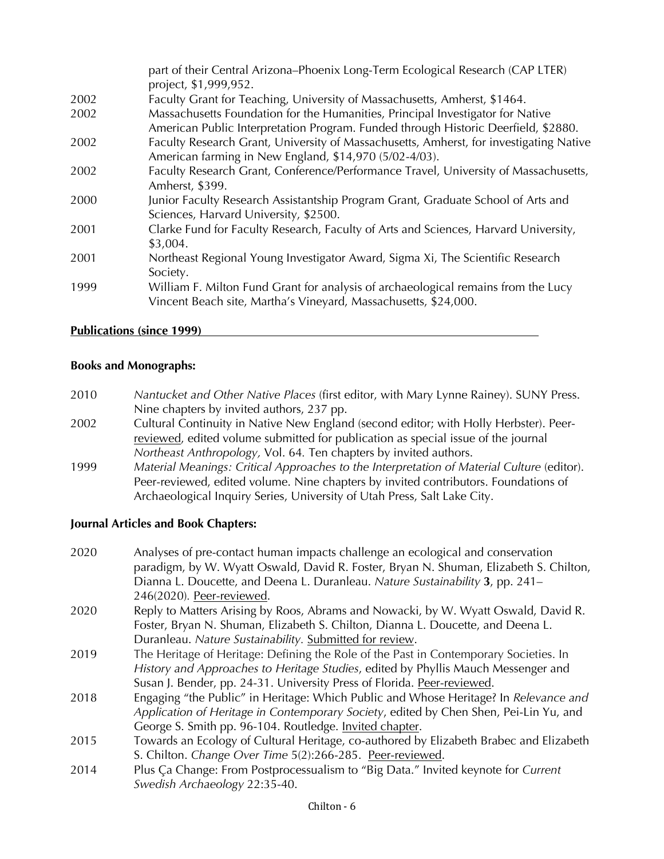|      | part of their Central Arizona–Phoenix Long-Term Ecological Research (CAP LTER)<br>project, \$1,999,952. |
|------|---------------------------------------------------------------------------------------------------------|
| 2002 | Faculty Grant for Teaching, University of Massachusetts, Amherst, \$1464.                               |
| 2002 | Massachusetts Foundation for the Humanities, Principal Investigator for Native                          |
|      | American Public Interpretation Program. Funded through Historic Deerfield, \$2880.                      |
| 2002 | Faculty Research Grant, University of Massachusetts, Amherst, for investigating Native                  |
|      | American farming in New England, \$14,970 (5/02-4/03).                                                  |
| 2002 | Faculty Research Grant, Conference/Performance Travel, University of Massachusetts,                     |
|      | Amherst, \$399.                                                                                         |
| 2000 | Junior Faculty Research Assistantship Program Grant, Graduate School of Arts and                        |
|      | Sciences, Harvard University, \$2500.                                                                   |
| 2001 | Clarke Fund for Faculty Research, Faculty of Arts and Sciences, Harvard University,                     |
|      | \$3,004.                                                                                                |
| 2001 | Northeast Regional Young Investigator Award, Sigma Xi, The Scientific Research                          |
|      | Society.                                                                                                |
| 1999 | William F. Milton Fund Grant for analysis of archaeological remains from the Lucy                       |
|      | Vincent Beach site, Martha's Vineyard, Massachusetts, \$24,000.                                         |

#### **Publications (since 1999)**

#### **Books and Monographs:**

- 2010 *Nantucket and Other Native Places* (first editor, with Mary Lynne Rainey). SUNY Press. Nine chapters by invited authors, 237 pp.
- 2002 Cultural Continuity in Native New England (second editor; with Holly Herbster). Peerreviewed, edited volume submitted for publication as special issue of the journal *Northeast Anthropology,* Vol. 64*.* Ten chapters by invited authors.
- 1999 *Material Meanings: Critical Approaches to the Interpretation of Material Culture* (editor). Peer-reviewed, edited volume. Nine chapters by invited contributors. Foundations of Archaeological Inquiry Series, University of Utah Press, Salt Lake City.

#### **Journal Articles and Book Chapters:**

| 2020 | Analyses of pre-contact human impacts challenge an ecological and conservation<br>paradigm, by W. Wyatt Oswald, David R. Foster, Bryan N. Shuman, Elizabeth S. Chilton,<br>Dianna L. Doucette, and Deena L. Duranleau. Nature Sustainability 3, pp. 241– |
|------|----------------------------------------------------------------------------------------------------------------------------------------------------------------------------------------------------------------------------------------------------------|
|      | 246(2020). Peer-reviewed.                                                                                                                                                                                                                                |
| 2020 | Reply to Matters Arising by Roos, Abrams and Nowacki, by W. Wyatt Oswald, David R.                                                                                                                                                                       |
|      | Foster, Bryan N. Shuman, Elizabeth S. Chilton, Dianna L. Doucette, and Deena L.                                                                                                                                                                          |
|      | Duranleau. Nature Sustainability. Submitted for review.                                                                                                                                                                                                  |
| 2019 | The Heritage of Heritage: Defining the Role of the Past in Contemporary Societies. In                                                                                                                                                                    |
|      | History and Approaches to Heritage Studies, edited by Phyllis Mauch Messenger and                                                                                                                                                                        |
|      | Susan J. Bender, pp. 24-31. University Press of Florida. Peer-reviewed.                                                                                                                                                                                  |
| 2018 | Engaging "the Public" in Heritage: Which Public and Whose Heritage? In Relevance and                                                                                                                                                                     |
|      | Application of Heritage in Contemporary Society, edited by Chen Shen, Pei-Lin Yu, and                                                                                                                                                                    |
|      | George S. Smith pp. 96-104. Routledge. Invited chapter.                                                                                                                                                                                                  |
| 2015 | Towards an Ecology of Cultural Heritage, co-authored by Elizabeth Brabec and Elizabeth                                                                                                                                                                   |
|      | S. Chilton. Change Over Time 5(2):266-285. Peer-reviewed.                                                                                                                                                                                                |

2014 Plus Ça Change: From Postprocessualism to "Big Data." Invited keynote for *Current Swedish Archaeology* 22:35-40.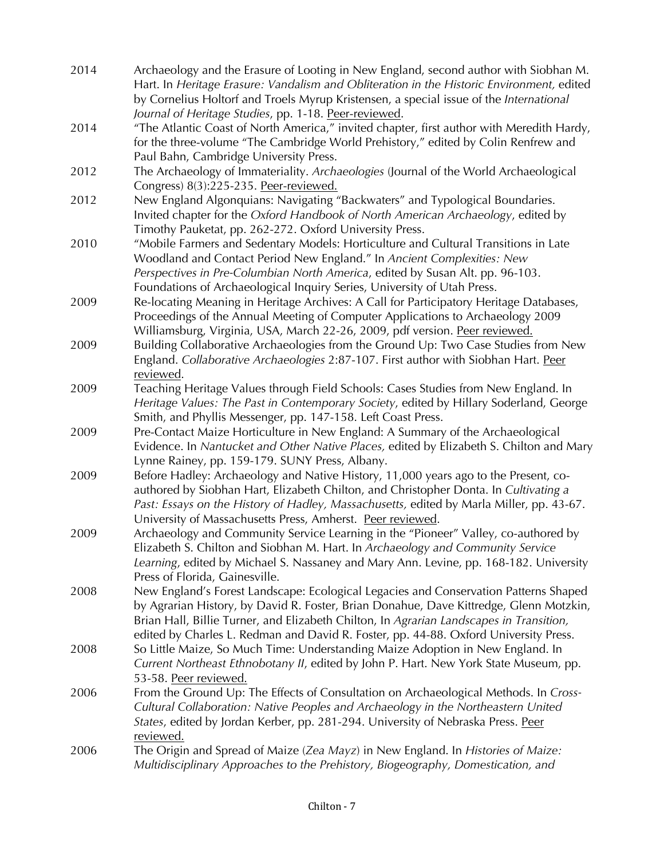| 2014 | Archaeology and the Erasure of Looting in New England, second author with Siobhan M.                                                  |
|------|---------------------------------------------------------------------------------------------------------------------------------------|
|      | Hart. In Heritage Erasure: Vandalism and Obliteration in the Historic Environment, edited                                             |
|      | by Cornelius Holtorf and Troels Myrup Kristensen, a special issue of the International                                                |
|      | Journal of Heritage Studies, pp. 1-18. Peer-reviewed.                                                                                 |
| 2014 | "The Atlantic Coast of North America," invited chapter, first author with Meredith Hardy,                                             |
|      | for the three-volume "The Cambridge World Prehistory," edited by Colin Renfrew and                                                    |
|      | Paul Bahn, Cambridge University Press.                                                                                                |
| 2012 | The Archaeology of Immateriality. Archaeologies (Journal of the World Archaeological                                                  |
|      | Congress) 8(3):225-235. Peer-reviewed.                                                                                                |
| 2012 | New England Algonquians: Navigating "Backwaters" and Typological Boundaries.                                                          |
|      | Invited chapter for the Oxford Handbook of North American Archaeology, edited by                                                      |
|      | Timothy Pauketat, pp. 262-272. Oxford University Press.                                                                               |
| 2010 | "Mobile Farmers and Sedentary Models: Horticulture and Cultural Transitions in Late                                                   |
|      | Woodland and Contact Period New England." In Ancient Complexities: New                                                                |
|      | Perspectives in Pre-Columbian North America, edited by Susan Alt. pp. 96-103.                                                         |
|      | Foundations of Archaeological Inquiry Series, University of Utah Press.                                                               |
| 2009 | Re-locating Meaning in Heritage Archives: A Call for Participatory Heritage Databases,                                                |
|      | Proceedings of the Annual Meeting of Computer Applications to Archaeology 2009                                                        |
|      | Williamsburg, Virginia, USA, March 22-26, 2009, pdf version. Peer reviewed.                                                           |
| 2009 | Building Collaborative Archaeologies from the Ground Up: Two Case Studies from New                                                    |
|      | England. Collaborative Archaeologies 2:87-107. First author with Siobhan Hart. Peer                                                   |
|      | reviewed.                                                                                                                             |
| 2009 | Teaching Heritage Values through Field Schools: Cases Studies from New England. In                                                    |
|      | Heritage Values: The Past in Contemporary Society, edited by Hillary Soderland, George                                                |
|      | Smith, and Phyllis Messenger, pp. 147-158. Left Coast Press.                                                                          |
| 2009 | Pre-Contact Maize Horticulture in New England: A Summary of the Archaeological                                                        |
|      | Evidence. In Nantucket and Other Native Places, edited by Elizabeth S. Chilton and Mary                                               |
| 2009 | Lynne Rainey, pp. 159-179. SUNY Press, Albany.<br>Before Hadley: Archaeology and Native History, 11,000 years ago to the Present, co- |
|      | authored by Siobhan Hart, Elizabeth Chilton, and Christopher Donta. In Cultivating a                                                  |
|      | Past: Essays on the History of Hadley, Massachusetts, edited by Marla Miller, pp. 43-67.                                              |
|      | University of Massachusetts Press, Amherst. Peer reviewed.                                                                            |
| 2009 | Archaeology and Community Service Learning in the "Pioneer" Valley, co-authored by                                                    |
|      | Elizabeth S. Chilton and Siobhan M. Hart. In Archaeology and Community Service                                                        |
|      | Learning, edited by Michael S. Nassaney and Mary Ann. Levine, pp. 168-182. University                                                 |
|      | Press of Florida, Gainesville.                                                                                                        |
| 2008 | New England's Forest Landscape: Ecological Legacies and Conservation Patterns Shaped                                                  |
|      | by Agrarian History, by David R. Foster, Brian Donahue, Dave Kittredge, Glenn Motzkin,                                                |
|      | Brian Hall, Billie Turner, and Elizabeth Chilton, In Agrarian Landscapes in Transition,                                               |
|      | edited by Charles L. Redman and David R. Foster, pp. 44-88. Oxford University Press.                                                  |
| 2008 | So Little Maize, So Much Time: Understanding Maize Adoption in New England. In                                                        |
|      | Current Northeast Ethnobotany II, edited by John P. Hart. New York State Museum, pp.                                                  |
|      | 53-58. Peer reviewed.                                                                                                                 |
| 2006 | From the Ground Up: The Effects of Consultation on Archaeological Methods. In Cross-                                                  |
|      | Cultural Collaboration: Native Peoples and Archaeology in the Northeastern United                                                     |
|      | States, edited by Jordan Kerber, pp. 281-294. University of Nebraska Press. Peer                                                      |
|      | reviewed.                                                                                                                             |
| 2006 | The Origin and Spread of Maize (Zea Mayz) in New England. In Histories of Maize:                                                      |
|      | Multidisciplinary Approaches to the Prehistory, Biogeography, Domestication, and                                                      |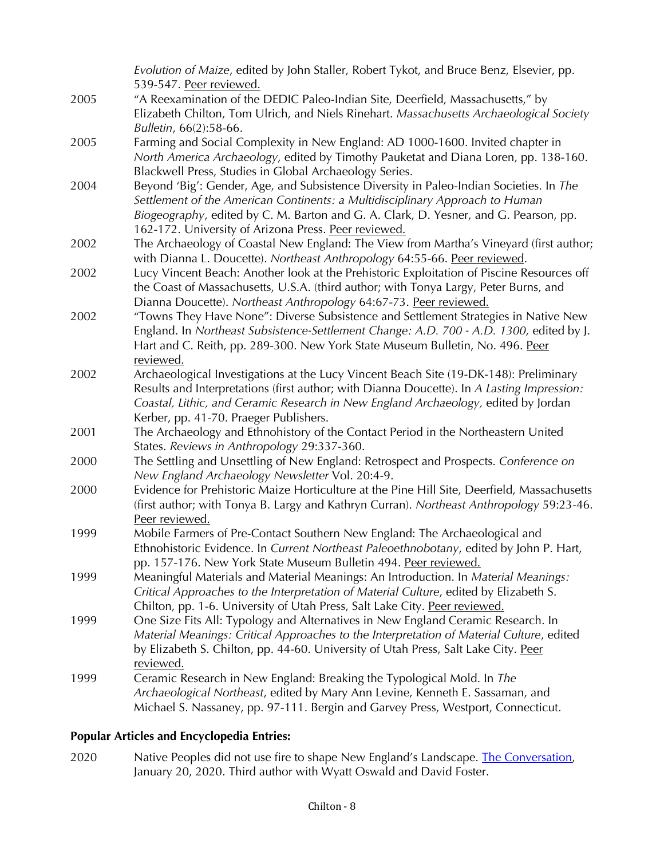|      | Evolution of Maize, edited by John Staller, Robert Tykot, and Bruce Benz, Elsevier, pp.     |
|------|---------------------------------------------------------------------------------------------|
|      | 539-547. Peer reviewed.                                                                     |
| 2005 | "A Reexamination of the DEDIC Paleo-Indian Site, Deerfield, Massachusetts," by              |
|      | Elizabeth Chilton, Tom Ulrich, and Niels Rinehart. Massachusetts Archaeological Society     |
|      | Bulletin, 66(2):58-66.                                                                      |
| 2005 | Farming and Social Complexity in New England: AD 1000-1600. Invited chapter in              |
|      | North America Archaeology, edited by Timothy Pauketat and Diana Loren, pp. 138-160.         |
|      | Blackwell Press, Studies in Global Archaeology Series.                                      |
| 2004 | Beyond 'Big': Gender, Age, and Subsistence Diversity in Paleo-Indian Societies. In The      |
|      | Settlement of the American Continents: a Multidisciplinary Approach to Human                |
|      | Biogeography, edited by C. M. Barton and G. A. Clark, D. Yesner, and G. Pearson, pp.        |
|      | 162-172. University of Arizona Press. Peer reviewed.                                        |
| 2002 | The Archaeology of Coastal New England: The View from Martha's Vineyard (first author;      |
|      | with Dianna L. Doucette). Northeast Anthropology 64:55-66. Peer reviewed.                   |
| 2002 | Lucy Vincent Beach: Another look at the Prehistoric Exploitation of Piscine Resources off   |
|      | the Coast of Massachusetts, U.S.A. (third author; with Tonya Largy, Peter Burns, and        |
|      | Dianna Doucette). Northeast Anthropology 64:67-73. Peer reviewed.                           |
| 2002 | "Towns They Have None": Diverse Subsistence and Settlement Strategies in Native New         |
|      | England. In Northeast Subsistence-Settlement Change: A.D. 700 - A.D. 1300, edited by J.     |
|      | Hart and C. Reith, pp. 289-300. New York State Museum Bulletin, No. 496. Peer               |
|      | reviewed.                                                                                   |
| 2002 | Archaeological Investigations at the Lucy Vincent Beach Site (19-DK-148): Preliminary       |
|      | Results and Interpretations (first author; with Dianna Doucette). In A Lasting Impression:  |
|      | Coastal, Lithic, and Ceramic Research in New England Archaeology, edited by Jordan          |
|      | Kerber, pp. 41-70. Praeger Publishers.                                                      |
| 2001 | The Archaeology and Ethnohistory of the Contact Period in the Northeastern United           |
|      | States. Reviews in Anthropology 29:337-360.                                                 |
| 2000 | The Settling and Unsettling of New England: Retrospect and Prospects. Conference on         |
|      | New England Archaeology Newsletter Vol. 20:4-9.                                             |
| 2000 | Evidence for Prehistoric Maize Horticulture at the Pine Hill Site, Deerfield, Massachusetts |
|      | (first author; with Tonya B. Largy and Kathryn Curran). Northeast Anthropology 59:23-46.    |
|      | Peer reviewed.                                                                              |
| 1999 | Mobile Farmers of Pre-Contact Southern New England: The Archaeological and                  |
|      | Ethnohistoric Evidence. In Current Northeast Paleoethnobotany, edited by John P. Hart,      |
|      | pp. 157-176. New York State Museum Bulletin 494. Peer reviewed.                             |
| 1999 | Meaningful Materials and Material Meanings: An Introduction. In Material Meanings:          |
|      | Critical Approaches to the Interpretation of Material Culture, edited by Elizabeth S.       |
|      | Chilton, pp. 1-6. University of Utah Press, Salt Lake City. Peer reviewed.                  |
| 1999 | One Size Fits All: Typology and Alternatives in New England Ceramic Research. In            |
|      | Material Meanings: Critical Approaches to the Interpretation of Material Culture, edited    |
|      | by Elizabeth S. Chilton, pp. 44-60. University of Utah Press, Salt Lake City. Peer          |
|      | reviewed.                                                                                   |
| 1999 | Ceramic Research in New England: Breaking the Typological Mold. In The                      |
|      | Archaeological Northeast, edited by Mary Ann Levine, Kenneth E. Sassaman, and               |
|      | Michael S. Nassaney, pp. 97-111. Bergin and Garvey Press, Westport, Connecticut.            |

# **Popular Articles and Encyclopedia Entries:**

2020 Native Peoples did not use fire to shape New England's Landscape. The Conversation, January 20, 2020. Third author with Wyatt Oswald and David Foster.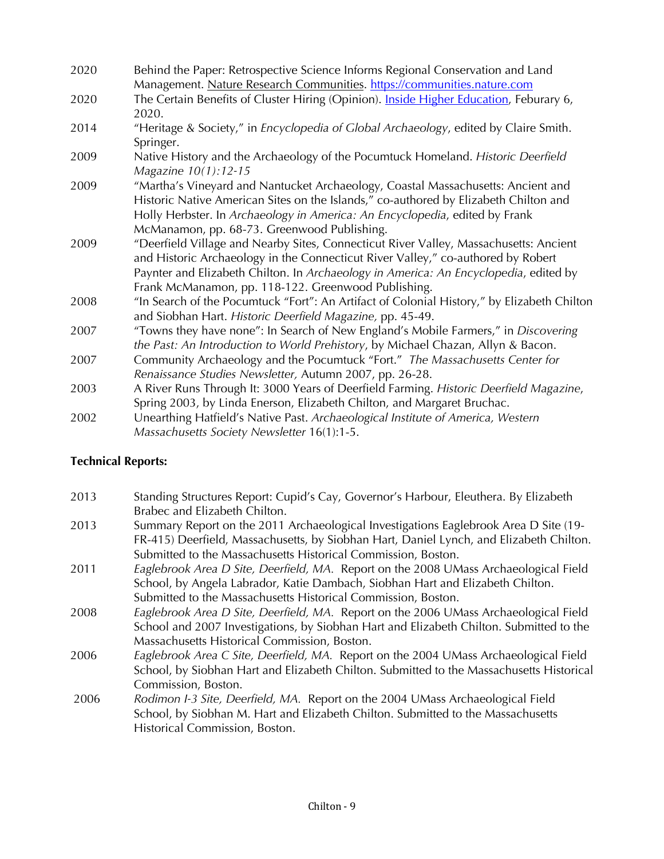| 2020 | Behind the Paper: Retrospective Science Informs Regional Conservation and Land               |
|------|----------------------------------------------------------------------------------------------|
|      | Management. Nature Research Communities. https://communities.nature.com                      |
| 2020 | The Certain Benefits of Cluster Hiring (Opinion). Inside Higher Education, Feburary 6,       |
|      | 2020.                                                                                        |
| 2014 | "Heritage & Society," in <i>Encyclopedia of Global Archaeology</i> , edited by Claire Smith. |
|      | Springer.                                                                                    |
| 2009 | Native History and the Archaeology of the Pocumtuck Homeland. Historic Deerfield             |
|      | Magazine 10(1):12-15                                                                         |
| 2009 | "Martha's Vineyard and Nantucket Archaeology, Coastal Massachusetts: Ancient and             |
|      | Historic Native American Sites on the Islands," co-authored by Elizabeth Chilton and         |
|      | Holly Herbster. In Archaeology in America: An Encyclopedia, edited by Frank                  |
|      | McManamon, pp. 68-73. Greenwood Publishing.                                                  |
| 2009 | "Deerfield Village and Nearby Sites, Connecticut River Valley, Massachusetts: Ancient        |
|      | and Historic Archaeology in the Connecticut River Valley," co-authored by Robert             |
|      | Paynter and Elizabeth Chilton. In Archaeology in America: An Encyclopedia, edited by         |
|      | Frank McManamon, pp. 118-122. Greenwood Publishing.                                          |
| 2008 | "In Search of the Pocumtuck "Fort": An Artifact of Colonial History," by Elizabeth Chilton   |
|      | and Siobhan Hart. Historic Deerfield Magazine, pp. 45-49.                                    |
| 2007 | "Towns they have none": In Search of New England's Mobile Farmers," in Discovering           |
|      | the Past: An Introduction to World Prehistory, by Michael Chazan, Allyn & Bacon.             |
| 2007 | Community Archaeology and the Pocumtuck "Fort." The Massachusetts Center for                 |
|      | Renaissance Studies Newsletter, Autumn 2007, pp. 26-28.                                      |
| 2003 | A River Runs Through It: 3000 Years of Deerfield Farming. Historic Deerfield Magazine,       |
|      | Spring 2003, by Linda Enerson, Elizabeth Chilton, and Margaret Bruchac.                      |
| 2002 | Unearthing Hatfield's Native Past. Archaeological Institute of America, Western              |
|      | Massachusetts Society Newsletter 16(1):1-5.                                                  |

# **Technical Reports:**

- 2013 Standing Structures Report: Cupid's Cay, Governor's Harbour, Eleuthera. By Elizabeth Brabec and Elizabeth Chilton.
- 2013 Summary Report on the 2011 Archaeological Investigations Eaglebrook Area D Site (19- FR-415) Deerfield, Massachusetts, by Siobhan Hart, Daniel Lynch, and Elizabeth Chilton. Submitted to the Massachusetts Historical Commission, Boston.
- 2011 *Eaglebrook Area D Site, Deerfield, MA.* Report on the 2008 UMass Archaeological Field School, by Angela Labrador, Katie Dambach, Siobhan Hart and Elizabeth Chilton. Submitted to the Massachusetts Historical Commission, Boston.
- 2008 *Eaglebrook Area D Site, Deerfield, MA.* Report on the 2006 UMass Archaeological Field School and 2007 Investigations, by Siobhan Hart and Elizabeth Chilton. Submitted to the Massachusetts Historical Commission, Boston.
- 2006 *Eaglebrook Area C Site, Deerfield, MA.* Report on the 2004 UMass Archaeological Field School, by Siobhan Hart and Elizabeth Chilton. Submitted to the Massachusetts Historical Commission, Boston.
- 2006 *Rodimon I-3 Site, Deerfield, MA.* Report on the 2004 UMass Archaeological Field School, by Siobhan M. Hart and Elizabeth Chilton. Submitted to the Massachusetts Historical Commission, Boston.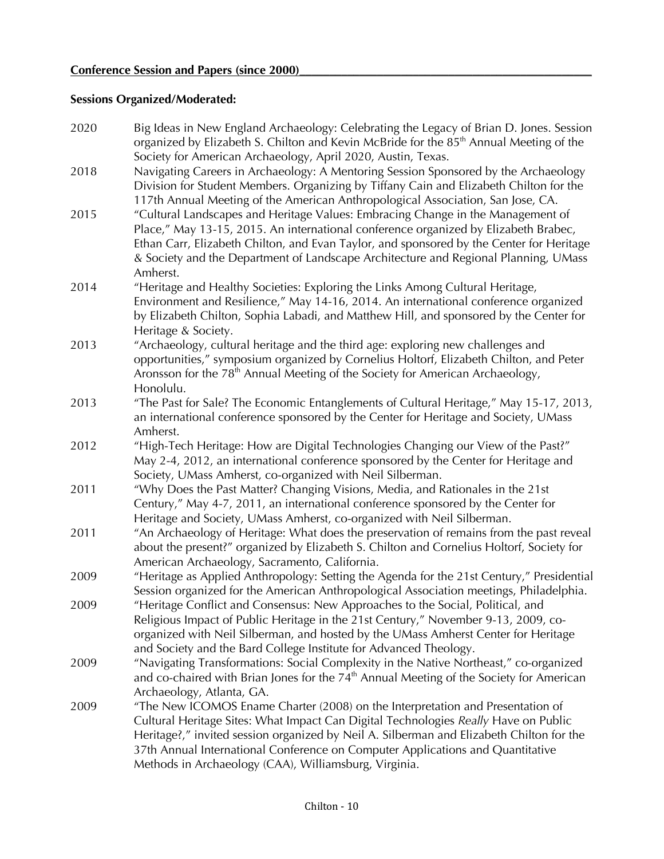# **Sessions Organized/Moderated:**

| 2020 | Big Ideas in New England Archaeology: Celebrating the Legacy of Brian D. Jones. Session<br>organized by Elizabeth S. Chilton and Kevin McBride for the 85 <sup>th</sup> Annual Meeting of the                                                                                                                                                                                                                |
|------|--------------------------------------------------------------------------------------------------------------------------------------------------------------------------------------------------------------------------------------------------------------------------------------------------------------------------------------------------------------------------------------------------------------|
| 2018 | Society for American Archaeology, April 2020, Austin, Texas.<br>Navigating Careers in Archaeology: A Mentoring Session Sponsored by the Archaeology                                                                                                                                                                                                                                                          |
|      | Division for Student Members. Organizing by Tiffany Cain and Elizabeth Chilton for the<br>117th Annual Meeting of the American Anthropological Association, San Jose, CA.                                                                                                                                                                                                                                    |
| 2015 | "Cultural Landscapes and Heritage Values: Embracing Change in the Management of<br>Place," May 13-15, 2015. An international conference organized by Elizabeth Brabec,<br>Ethan Carr, Elizabeth Chilton, and Evan Taylor, and sponsored by the Center for Heritage<br>& Society and the Department of Landscape Architecture and Regional Planning, UMass                                                    |
|      | Amherst.                                                                                                                                                                                                                                                                                                                                                                                                     |
| 2014 | "Heritage and Healthy Societies: Exploring the Links Among Cultural Heritage,<br>Environment and Resilience," May 14-16, 2014. An international conference organized<br>by Elizabeth Chilton, Sophia Labadi, and Matthew Hill, and sponsored by the Center for<br>Heritage & Society.                                                                                                                        |
| 2013 | "Archaeology, cultural heritage and the third age: exploring new challenges and<br>opportunities," symposium organized by Cornelius Holtorf, Elizabeth Chilton, and Peter<br>Aronsson for the 78 <sup>th</sup> Annual Meeting of the Society for American Archaeology,<br>Honolulu.                                                                                                                          |
| 2013 | "The Past for Sale? The Economic Entanglements of Cultural Heritage," May 15-17, 2013,<br>an international conference sponsored by the Center for Heritage and Society, UMass<br>Amherst.                                                                                                                                                                                                                    |
| 2012 | "High-Tech Heritage: How are Digital Technologies Changing our View of the Past?"<br>May 2-4, 2012, an international conference sponsored by the Center for Heritage and<br>Society, UMass Amherst, co-organized with Neil Silberman.                                                                                                                                                                        |
| 2011 | "Why Does the Past Matter? Changing Visions, Media, and Rationales in the 21st<br>Century," May 4-7, 2011, an international conference sponsored by the Center for<br>Heritage and Society, UMass Amherst, co-organized with Neil Silberman.                                                                                                                                                                 |
| 2011 | "An Archaeology of Heritage: What does the preservation of remains from the past reveal<br>about the present?" organized by Elizabeth S. Chilton and Cornelius Holtorf, Society for<br>American Archaeology, Sacramento, California.                                                                                                                                                                         |
| 2009 | "Heritage as Applied Anthropology: Setting the Agenda for the 21st Century," Presidential<br>Session organized for the American Anthropological Association meetings, Philadelphia.                                                                                                                                                                                                                          |
| 2009 | "Heritage Conflict and Consensus: New Approaches to the Social, Political, and<br>Religious Impact of Public Heritage in the 21st Century," November 9-13, 2009, co-<br>organized with Neil Silberman, and hosted by the UMass Amherst Center for Heritage<br>and Society and the Bard College Institute for Advanced Theology.                                                                              |
| 2009 | "Navigating Transformations: Social Complexity in the Native Northeast," co-organized<br>and co-chaired with Brian Jones for the $74th$ Annual Meeting of the Society for American<br>Archaeology, Atlanta, GA.                                                                                                                                                                                              |
| 2009 | "The New ICOMOS Ename Charter (2008) on the Interpretation and Presentation of<br>Cultural Heritage Sites: What Impact Can Digital Technologies Really Have on Public<br>Heritage?," invited session organized by Neil A. Silberman and Elizabeth Chilton for the<br>37th Annual International Conference on Computer Applications and Quantitative<br>Methods in Archaeology (CAA), Williamsburg, Virginia. |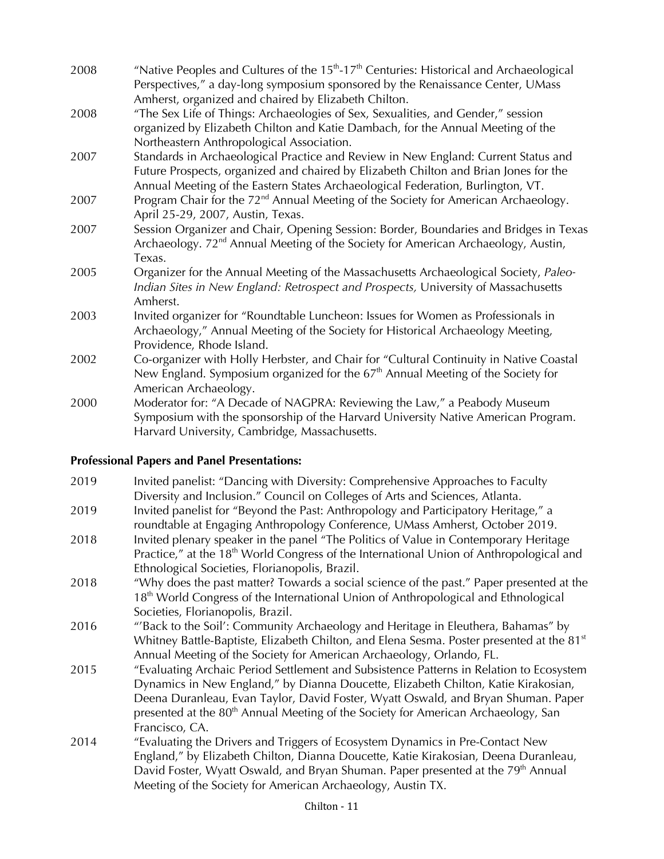| 2008 | "Native Peoples and Cultures of the $15th$ -17 <sup>th</sup> Centuries: Historical and Archaeological<br>Perspectives," a day-long symposium sponsored by the Renaissance Center, UMass                                                                                  |
|------|--------------------------------------------------------------------------------------------------------------------------------------------------------------------------------------------------------------------------------------------------------------------------|
| 2008 | Amherst, organized and chaired by Elizabeth Chilton.<br>"The Sex Life of Things: Archaeologies of Sex, Sexualities, and Gender," session<br>organized by Elizabeth Chilton and Katie Dambach, for the Annual Meeting of the<br>Northeastern Anthropological Association. |
| 2007 | Standards in Archaeological Practice and Review in New England: Current Status and<br>Future Prospects, organized and chaired by Elizabeth Chilton and Brian Jones for the<br>Annual Meeting of the Eastern States Archaeological Federation, Burlington, VT.            |
| 2007 | Program Chair for the 72 <sup>nd</sup> Annual Meeting of the Society for American Archaeology.<br>April 25-29, 2007, Austin, Texas.                                                                                                                                      |
| 2007 | Session Organizer and Chair, Opening Session: Border, Boundaries and Bridges in Texas<br>Archaeology. 72 <sup>nd</sup> Annual Meeting of the Society for American Archaeology, Austin,<br>Texas.                                                                         |
| 2005 | Organizer for the Annual Meeting of the Massachusetts Archaeological Society, Paleo-<br>Indian Sites in New England: Retrospect and Prospects, University of Massachusetts<br>Amherst.                                                                                   |
| 2003 | Invited organizer for "Roundtable Luncheon: Issues for Women as Professionals in<br>Archaeology," Annual Meeting of the Society for Historical Archaeology Meeting,<br>Providence, Rhode Island.                                                                         |
| 2002 | Co-organizer with Holly Herbster, and Chair for "Cultural Continuity in Native Coastal<br>New England. Symposium organized for the $67th$ Annual Meeting of the Society for<br>American Archaeology.                                                                     |
| 2000 | Moderator for: "A Decade of NAGPRA: Reviewing the Law," a Peabody Museum<br>Symposium with the sponsorship of the Harvard University Native American Program.<br>Harvard University, Cambridge, Massachusetts.                                                           |

# **Professional Papers and Panel Presentations:**

| 2019 | Invited panelist: "Dancing with Diversity: Comprehensive Approaches to Faculty<br>Diversity and Inclusion." Council on Colleges of Arts and Sciences, Atlanta.                                                                                                                                                                                                                        |
|------|---------------------------------------------------------------------------------------------------------------------------------------------------------------------------------------------------------------------------------------------------------------------------------------------------------------------------------------------------------------------------------------|
| 2019 | Invited panelist for "Beyond the Past: Anthropology and Participatory Heritage," a<br>roundtable at Engaging Anthropology Conference, UMass Amherst, October 2019.                                                                                                                                                                                                                    |
| 2018 | Invited plenary speaker in the panel "The Politics of Value in Contemporary Heritage<br>Practice," at the 18 <sup>th</sup> World Congress of the International Union of Anthropological and<br>Ethnological Societies, Florianopolis, Brazil.                                                                                                                                         |
| 2018 | "Why does the past matter? Towards a social science of the past." Paper presented at the<br>18 <sup>th</sup> World Congress of the International Union of Anthropological and Ethnological                                                                                                                                                                                            |
| 2016 | Societies, Florianopolis, Brazil.<br>"'Back to the Soil': Community Archaeology and Heritage in Eleuthera, Bahamas" by<br>Whitney Battle-Baptiste, Elizabeth Chilton, and Elena Sesma. Poster presented at the 81 <sup>st</sup><br>Annual Meeting of the Society for American Archaeology, Orlando, FL.                                                                               |
| 2015 | "Evaluating Archaic Period Settlement and Subsistence Patterns in Relation to Ecosystem<br>Dynamics in New England," by Dianna Doucette, Elizabeth Chilton, Katie Kirakosian,<br>Deena Duranleau, Evan Taylor, David Foster, Wyatt Oswald, and Bryan Shuman. Paper<br>presented at the 80 <sup>th</sup> Annual Meeting of the Society for American Archaeology, San<br>Francisco, CA. |
| 2014 | "Evaluating the Drivers and Triggers of Ecosystem Dynamics in Pre-Contact New<br>England," by Elizabeth Chilton, Dianna Doucette, Katie Kirakosian, Deena Duranleau,<br>David Foster, Wyatt Oswald, and Bryan Shuman. Paper presented at the 79 <sup>th</sup> Annual<br>Meeting of the Society for American Archaeology, Austin TX.                                                   |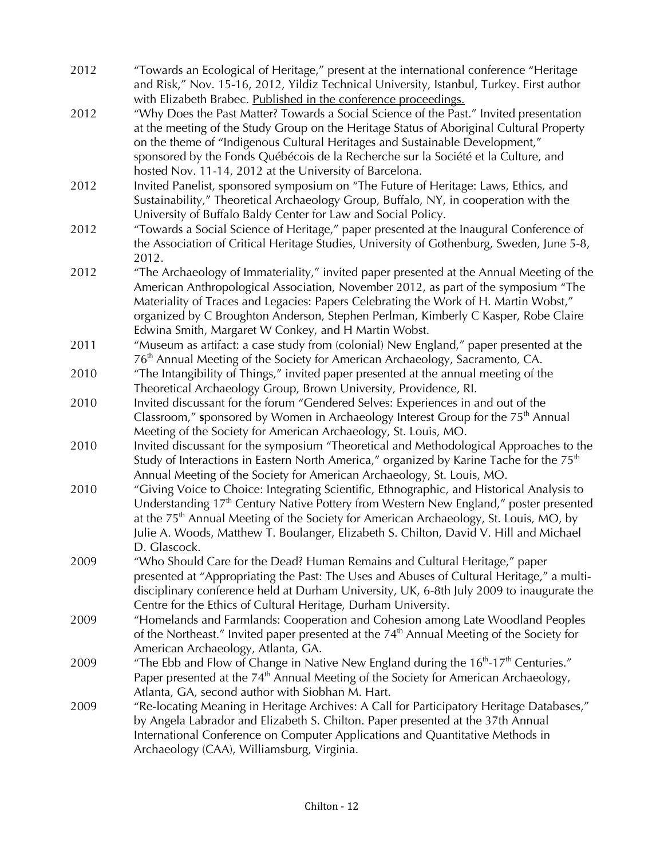| 2012 | "Towards an Ecological of Heritage," present at the international conference "Heritage<br>and Risk," Nov. 15-16, 2012, Yildiz Technical University, Istanbul, Turkey. First author                                                                                                                                                                                                                                                                                                     |
|------|----------------------------------------------------------------------------------------------------------------------------------------------------------------------------------------------------------------------------------------------------------------------------------------------------------------------------------------------------------------------------------------------------------------------------------------------------------------------------------------|
| 2012 | with Elizabeth Brabec. Published in the conference proceedings.<br>"Why Does the Past Matter? Towards a Social Science of the Past." Invited presentation<br>at the meeting of the Study Group on the Heritage Status of Aboriginal Cultural Property<br>on the theme of "Indigenous Cultural Heritages and Sustainable Development,"<br>sponsored by the Fonds Québécois de la Recherche sur la Société et la Culture, and<br>hosted Nov. 11-14, 2012 at the University of Barcelona. |
| 2012 | Invited Panelist, sponsored symposium on "The Future of Heritage: Laws, Ethics, and<br>Sustainability," Theoretical Archaeology Group, Buffalo, NY, in cooperation with the<br>University of Buffalo Baldy Center for Law and Social Policy.                                                                                                                                                                                                                                           |
| 2012 | "Towards a Social Science of Heritage," paper presented at the Inaugural Conference of<br>the Association of Critical Heritage Studies, University of Gothenburg, Sweden, June 5-8,<br>2012.                                                                                                                                                                                                                                                                                           |
| 2012 | "The Archaeology of Immateriality," invited paper presented at the Annual Meeting of the<br>American Anthropological Association, November 2012, as part of the symposium "The<br>Materiality of Traces and Legacies: Papers Celebrating the Work of H. Martin Wobst,"<br>organized by C Broughton Anderson, Stephen Perlman, Kimberly C Kasper, Robe Claire<br>Edwina Smith, Margaret W Conkey, and H Martin Wobst.                                                                   |
| 2011 | "Museum as artifact: a case study from (colonial) New England," paper presented at the<br>76 <sup>th</sup> Annual Meeting of the Society for American Archaeology, Sacramento, CA.                                                                                                                                                                                                                                                                                                     |
| 2010 | "The Intangibility of Things," invited paper presented at the annual meeting of the<br>Theoretical Archaeology Group, Brown University, Providence, RI.                                                                                                                                                                                                                                                                                                                                |
| 2010 | Invited discussant for the forum "Gendered Selves: Experiences in and out of the<br>Classroom," sponsored by Women in Archaeology Interest Group for the $75th$ Annual<br>Meeting of the Society for American Archaeology, St. Louis, MO.                                                                                                                                                                                                                                              |
| 2010 | Invited discussant for the symposium "Theoretical and Methodological Approaches to the<br>Study of Interactions in Eastern North America," organized by Karine Tache for the 75 <sup>th</sup><br>Annual Meeting of the Society for American Archaeology, St. Louis, MO.                                                                                                                                                                                                                |
| 2010 | "Giving Voice to Choice: Integrating Scientific, Ethnographic, and Historical Analysis to<br>Understanding 17 <sup>th</sup> Century Native Pottery from Western New England," poster presented<br>at the 75 <sup>th</sup> Annual Meeting of the Society for American Archaeology, St. Louis, MO, by<br>Julie A. Woods, Matthew T. Boulanger, Elizabeth S. Chilton, David V. Hill and Michael<br>D. Glascock.                                                                           |
| 2009 | "Who Should Care for the Dead? Human Remains and Cultural Heritage," paper<br>presented at "Appropriating the Past: The Uses and Abuses of Cultural Heritage," a multi-<br>disciplinary conference held at Durham University, UK, 6-8th July 2009 to inaugurate the<br>Centre for the Ethics of Cultural Heritage, Durham University.                                                                                                                                                  |
| 2009 | "Homelands and Farmlands: Cooperation and Cohesion among Late Woodland Peoples<br>of the Northeast." Invited paper presented at the $74th$ Annual Meeting of the Society for<br>American Archaeology, Atlanta, GA.                                                                                                                                                                                                                                                                     |
| 2009 | "The Ebb and Flow of Change in Native New England during the $16th$ -17 <sup>th</sup> Centuries."<br>Paper presented at the 74 <sup>th</sup> Annual Meeting of the Society for American Archaeology,<br>Atlanta, GA, second author with Siobhan M. Hart.                                                                                                                                                                                                                               |
| 2009 | "Re-locating Meaning in Heritage Archives: A Call for Participatory Heritage Databases,"<br>by Angela Labrador and Elizabeth S. Chilton. Paper presented at the 37th Annual<br>International Conference on Computer Applications and Quantitative Methods in<br>Archaeology (CAA), Williamsburg, Virginia.                                                                                                                                                                             |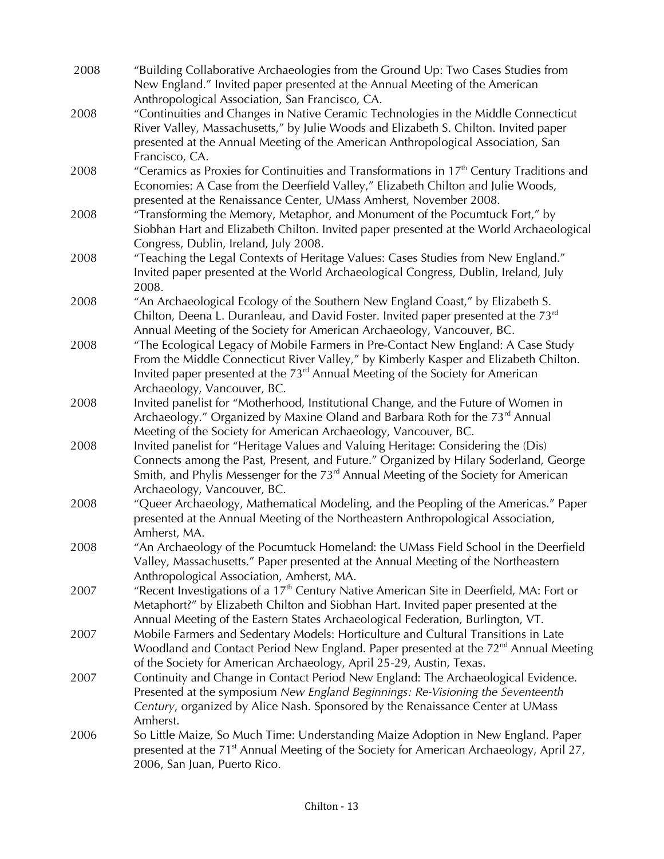| 2008 | "Building Collaborative Archaeologies from the Ground Up: Two Cases Studies from<br>New England." Invited paper presented at the Annual Meeting of the American                                                                                                |
|------|----------------------------------------------------------------------------------------------------------------------------------------------------------------------------------------------------------------------------------------------------------------|
|      | Anthropological Association, San Francisco, CA.                                                                                                                                                                                                                |
| 2008 | "Continuities and Changes in Native Ceramic Technologies in the Middle Connecticut<br>River Valley, Massachusetts," by Julie Woods and Elizabeth S. Chilton. Invited paper<br>presented at the Annual Meeting of the American Anthropological Association, San |
|      | Francisco, CA.                                                                                                                                                                                                                                                 |
| 2008 | "Ceramics as Proxies for Continuities and Transformations in 17 <sup>th</sup> Century Traditions and                                                                                                                                                           |
|      | Economies: A Case from the Deerfield Valley," Elizabeth Chilton and Julie Woods,<br>presented at the Renaissance Center, UMass Amherst, November 2008.                                                                                                         |
| 2008 | "Transforming the Memory, Metaphor, and Monument of the Pocumtuck Fort," by                                                                                                                                                                                    |
|      | Siobhan Hart and Elizabeth Chilton. Invited paper presented at the World Archaeological<br>Congress, Dublin, Ireland, July 2008.                                                                                                                               |
| 2008 | "Teaching the Legal Contexts of Heritage Values: Cases Studies from New England."                                                                                                                                                                              |
|      | Invited paper presented at the World Archaeological Congress, Dublin, Ireland, July<br>2008.                                                                                                                                                                   |
| 2008 | "An Archaeological Ecology of the Southern New England Coast," by Elizabeth S.                                                                                                                                                                                 |
|      | Chilton, Deena L. Duranleau, and David Foster. Invited paper presented at the 73rd<br>Annual Meeting of the Society for American Archaeology, Vancouver, BC.                                                                                                   |
| 2008 | "The Ecological Legacy of Mobile Farmers in Pre-Contact New England: A Case Study                                                                                                                                                                              |
|      | From the Middle Connecticut River Valley," by Kimberly Kasper and Elizabeth Chilton.                                                                                                                                                                           |
|      | Invited paper presented at the 73 <sup>rd</sup> Annual Meeting of the Society for American                                                                                                                                                                     |
|      | Archaeology, Vancouver, BC.                                                                                                                                                                                                                                    |
| 2008 | Invited panelist for "Motherhood, Institutional Change, and the Future of Women in                                                                                                                                                                             |
|      | Archaeology." Organized by Maxine Oland and Barbara Roth for the 73 <sup>rd</sup> Annual                                                                                                                                                                       |
|      | Meeting of the Society for American Archaeology, Vancouver, BC.                                                                                                                                                                                                |
| 2008 | Invited panelist for "Heritage Values and Valuing Heritage: Considering the (Dis)                                                                                                                                                                              |
|      | Connects among the Past, Present, and Future." Organized by Hilary Soderland, George                                                                                                                                                                           |
|      | Smith, and Phylis Messenger for the $73rd$ Annual Meeting of the Society for American                                                                                                                                                                          |
|      | Archaeology, Vancouver, BC.                                                                                                                                                                                                                                    |
| 2008 | "Queer Archaeology, Mathematical Modeling, and the Peopling of the Americas." Paper                                                                                                                                                                            |
|      | presented at the Annual Meeting of the Northeastern Anthropological Association,                                                                                                                                                                               |
|      | Amherst, MA.                                                                                                                                                                                                                                                   |
| 2008 | "An Archaeology of the Pocumtuck Homeland: the UMass Field School in the Deerfield                                                                                                                                                                             |
|      | Valley, Massachusetts." Paper presented at the Annual Meeting of the Northeastern                                                                                                                                                                              |
|      | Anthropological Association, Amherst, MA.                                                                                                                                                                                                                      |
| 2007 | "Recent Investigations of a 17 <sup>th</sup> Century Native American Site in Deerfield, MA: Fort or                                                                                                                                                            |
|      | Metaphort?" by Elizabeth Chilton and Siobhan Hart. Invited paper presented at the                                                                                                                                                                              |
|      | Annual Meeting of the Eastern States Archaeological Federation, Burlington, VT.<br>Mobile Farmers and Sedentary Models: Horticulture and Cultural Transitions in Late                                                                                          |
| 2007 | Woodland and Contact Period New England. Paper presented at the 72 <sup>nd</sup> Annual Meeting                                                                                                                                                                |
|      | of the Society for American Archaeology, April 25-29, Austin, Texas.                                                                                                                                                                                           |
| 2007 | Continuity and Change in Contact Period New England: The Archaeological Evidence.                                                                                                                                                                              |
|      | Presented at the symposium New England Beginnings: Re-Visioning the Seventeenth                                                                                                                                                                                |
|      | Century, organized by Alice Nash. Sponsored by the Renaissance Center at UMass                                                                                                                                                                                 |
|      | Amherst.                                                                                                                                                                                                                                                       |
| 2006 | So Little Maize, So Much Time: Understanding Maize Adoption in New England. Paper                                                                                                                                                                              |
|      | presented at the 71 <sup>st</sup> Annual Meeting of the Society for American Archaeology, April 27,                                                                                                                                                            |
|      | 2006, San Juan, Puerto Rico.                                                                                                                                                                                                                                   |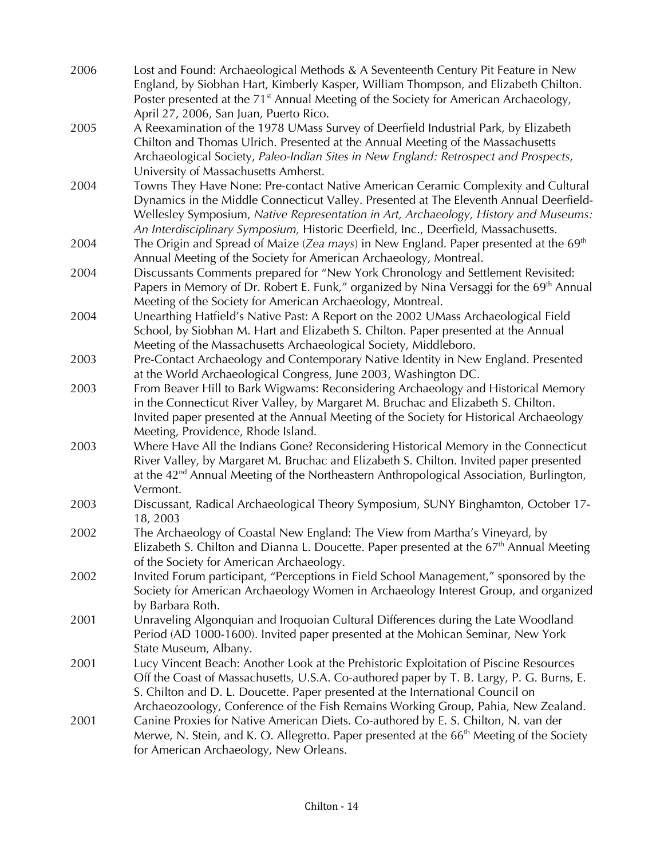| 2006 | Lost and Found: Archaeological Methods & A Seventeenth Century Pit Feature in New                     |
|------|-------------------------------------------------------------------------------------------------------|
|      | England, by Siobhan Hart, Kimberly Kasper, William Thompson, and Elizabeth Chilton.                   |
|      | Poster presented at the 71 <sup>st</sup> Annual Meeting of the Society for American Archaeology,      |
|      | April 27, 2006, San Juan, Puerto Rico.                                                                |
| 2005 | A Reexamination of the 1978 UMass Survey of Deerfield Industrial Park, by Elizabeth                   |
|      | Chilton and Thomas Ulrich. Presented at the Annual Meeting of the Massachusetts                       |
|      | Archaeological Society, Paleo-Indian Sites in New England: Retrospect and Prospects,                  |
|      | University of Massachusetts Amherst.                                                                  |
| 2004 | Towns They Have None: Pre-contact Native American Ceramic Complexity and Cultural                     |
|      | Dynamics in the Middle Connecticut Valley. Presented at The Eleventh Annual Deerfield-                |
|      | Wellesley Symposium, Native Representation in Art, Archaeology, History and Museums:                  |
|      | An Interdisciplinary Symposium, Historic Deerfield, Inc., Deerfield, Massachusetts.                   |
| 2004 | The Origin and Spread of Maize (Zea mays) in New England. Paper presented at the $69th$               |
|      | Annual Meeting of the Society for American Archaeology, Montreal.                                     |
| 2004 | Discussants Comments prepared for "New York Chronology and Settlement Revisited:                      |
|      | Papers in Memory of Dr. Robert E. Funk," organized by Nina Versaggi for the 69 <sup>th</sup> Annual   |
|      | Meeting of the Society for American Archaeology, Montreal.                                            |
| 2004 | Unearthing Hatfield's Native Past: A Report on the 2002 UMass Archaeological Field                    |
|      | School, by Siobhan M. Hart and Elizabeth S. Chilton. Paper presented at the Annual                    |
|      | Meeting of the Massachusetts Archaeological Society, Middleboro.                                      |
| 2003 | Pre-Contact Archaeology and Contemporary Native Identity in New England. Presented                    |
|      | at the World Archaeological Congress, June 2003, Washington DC.                                       |
| 2003 | From Beaver Hill to Bark Wigwams: Reconsidering Archaeology and Historical Memory                     |
|      | in the Connecticut River Valley, by Margaret M. Bruchac and Elizabeth S. Chilton.                     |
|      | Invited paper presented at the Annual Meeting of the Society for Historical Archaeology               |
|      | Meeting, Providence, Rhode Island.                                                                    |
| 2003 | Where Have All the Indians Gone? Reconsidering Historical Memory in the Connecticut                   |
|      | River Valley, by Margaret M. Bruchac and Elizabeth S. Chilton. Invited paper presented                |
|      | at the 42 <sup>nd</sup> Annual Meeting of the Northeastern Anthropological Association, Burlington,   |
|      | Vermont.                                                                                              |
| 2003 | Discussant, Radical Archaeological Theory Symposium, SUNY Binghamton, October 17-                     |
|      | 18, 2003                                                                                              |
| 2002 | The Archaeology of Coastal New England: The View from Martha's Vineyard, by                           |
|      | Elizabeth S. Chilton and Dianna L. Doucette. Paper presented at the $67th$ Annual Meeting             |
|      | of the Society for American Archaeology.                                                              |
| 2002 | Invited Forum participant, "Perceptions in Field School Management," sponsored by the                 |
|      | Society for American Archaeology Women in Archaeology Interest Group, and organized                   |
|      | by Barbara Roth.                                                                                      |
| 2001 | Unraveling Algonquian and Iroquoian Cultural Differences during the Late Woodland                     |
|      | Period (AD 1000-1600). Invited paper presented at the Mohican Seminar, New York                       |
|      | State Museum, Albany.                                                                                 |
| 2001 | Lucy Vincent Beach: Another Look at the Prehistoric Exploitation of Piscine Resources                 |
|      | Off the Coast of Massachusetts, U.S.A. Co-authored paper by T. B. Largy, P. G. Burns, E.              |
|      | S. Chilton and D. L. Doucette. Paper presented at the International Council on                        |
|      | Archaeozoology, Conference of the Fish Remains Working Group, Pahia, New Zealand.                     |
| 2001 | Canine Proxies for Native American Diets. Co-authored by E. S. Chilton, N. van der                    |
|      | Merwe, N. Stein, and K. O. Allegretto. Paper presented at the 66 <sup>th</sup> Meeting of the Society |
|      | for American Archaeology, New Orleans.                                                                |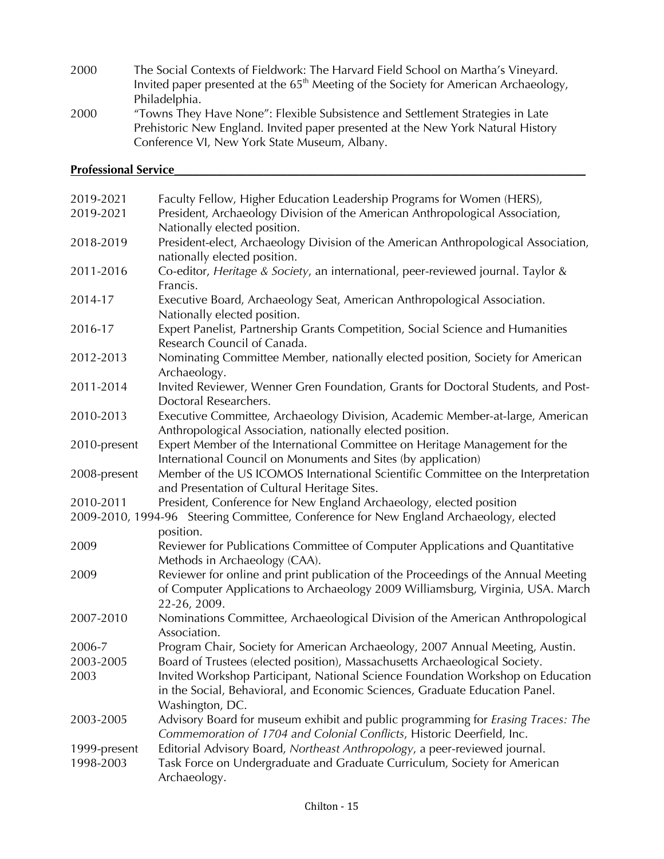2000 The Social Contexts of Fieldwork: The Harvard Field School on Martha's Vineyard. Invited paper presented at the 65<sup>th</sup> Meeting of the Society for American Archaeology, Philadelphia. 2000 "Towns They Have None": Flexible Subsistence and Settlement Strategies in Late Prehistoric New England. Invited paper presented at the New York Natural History Conference VI, New York State Museum, Albany.

### **Professional Service**

| 2019-2021    | Faculty Fellow, Higher Education Leadership Programs for Women (HERS),                                                                                                                |
|--------------|---------------------------------------------------------------------------------------------------------------------------------------------------------------------------------------|
| 2019-2021    | President, Archaeology Division of the American Anthropological Association,                                                                                                          |
|              | Nationally elected position.                                                                                                                                                          |
| 2018-2019    | President-elect, Archaeology Division of the American Anthropological Association,<br>nationally elected position.                                                                    |
| 2011-2016    | Co-editor, Heritage & Society, an international, peer-reviewed journal. Taylor &<br>Francis.                                                                                          |
| 2014-17      | Executive Board, Archaeology Seat, American Anthropological Association.                                                                                                              |
| 2016-17      | Nationally elected position.<br>Expert Panelist, Partnership Grants Competition, Social Science and Humanities<br>Research Council of Canada.                                         |
| 2012-2013    | Nominating Committee Member, nationally elected position, Society for American<br>Archaeology.                                                                                        |
| 2011-2014    | Invited Reviewer, Wenner Gren Foundation, Grants for Doctoral Students, and Post-<br>Doctoral Researchers.                                                                            |
| 2010-2013    | Executive Committee, Archaeology Division, Academic Member-at-large, American<br>Anthropological Association, nationally elected position.                                            |
| 2010-present | Expert Member of the International Committee on Heritage Management for the<br>International Council on Monuments and Sites (by application)                                          |
| 2008-present | Member of the US ICOMOS International Scientific Committee on the Interpretation<br>and Presentation of Cultural Heritage Sites.                                                      |
| 2010-2011    | President, Conference for New England Archaeology, elected position                                                                                                                   |
|              | 2009-2010, 1994-96 Steering Committee, Conference for New England Archaeology, elected                                                                                                |
|              | position.                                                                                                                                                                             |
| 2009         | Reviewer for Publications Committee of Computer Applications and Quantitative<br>Methods in Archaeology (CAA).                                                                        |
| 2009         | Reviewer for online and print publication of the Proceedings of the Annual Meeting<br>of Computer Applications to Archaeology 2009 Williamsburg, Virginia, USA. March<br>22-26, 2009. |
| 2007-2010    | Nominations Committee, Archaeological Division of the American Anthropological<br>Association.                                                                                        |
| 2006-7       | Program Chair, Society for American Archaeology, 2007 Annual Meeting, Austin.                                                                                                         |
| 2003-2005    | Board of Trustees (elected position), Massachusetts Archaeological Society.                                                                                                           |
| 2003         | Invited Workshop Participant, National Science Foundation Workshop on Education<br>in the Social, Behavioral, and Economic Sciences, Graduate Education Panel.<br>Washington, DC.     |
| 2003-2005    | Advisory Board for museum exhibit and public programming for <i>Erasing Traces: The</i><br>Commemoration of 1704 and Colonial Conflicts, Historic Deerfield, Inc.                     |
| 1999-present | Editorial Advisory Board, Northeast Anthropology, a peer-reviewed journal.                                                                                                            |
| 1998-2003    | Task Force on Undergraduate and Graduate Curriculum, Society for American<br>Archaeology.                                                                                             |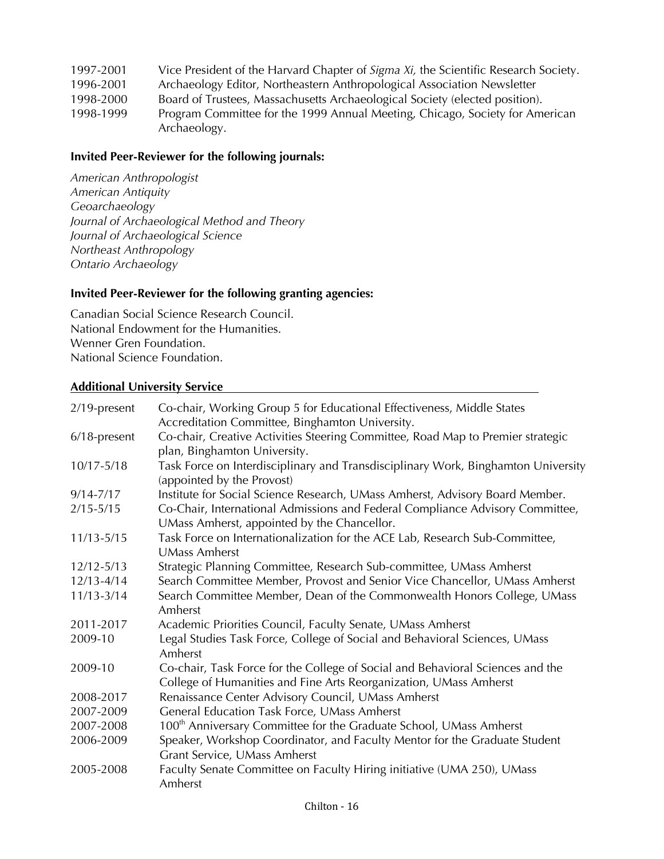| 1997-2001 | Vice President of the Harvard Chapter of Sigma Xi, the Scientific Research Society. |
|-----------|-------------------------------------------------------------------------------------|
| 1996-2001 | Archaeology Editor, Northeastern Anthropological Association Newsletter             |
| 1998-2000 | Board of Trustees, Massachusetts Archaeological Society (elected position).         |
| 1998-1999 | Program Committee for the 1999 Annual Meeting, Chicago, Society for American        |
|           | Archaeology.                                                                        |

## **Invited Peer-Reviewer for the following journals:**

*American Anthropologist American Antiquity Geoarchaeology Journal of Archaeological Method and Theory Journal of Archaeological Science Northeast Anthropology Ontario Archaeology*

# **Invited Peer-Reviewer for the following granting agencies:**

Canadian Social Science Research Council. National Endowment for the Humanities. Wenner Gren Foundation. National Science Foundation.

#### **Additional University Service**

| $2/19$ -present | Co-chair, Working Group 5 for Educational Effectiveness, Middle States<br>Accreditation Committee, Binghamton University.                           |
|-----------------|-----------------------------------------------------------------------------------------------------------------------------------------------------|
| $6/18$ -present | Co-chair, Creative Activities Steering Committee, Road Map to Premier strategic<br>plan, Binghamton University.                                     |
| $10/17 - 5/18$  | Task Force on Interdisciplinary and Transdisciplinary Work, Binghamton University<br>(appointed by the Provost)                                     |
| $9/14 - 7/17$   | Institute for Social Science Research, UMass Amherst, Advisory Board Member.                                                                        |
| $2/15 - 5/15$   | Co-Chair, International Admissions and Federal Compliance Advisory Committee,<br>UMass Amherst, appointed by the Chancellor.                        |
| $11/13 - 5/15$  | Task Force on Internationalization for the ACE Lab, Research Sub-Committee,<br><b>UMass Amherst</b>                                                 |
| $12/12 - 5/13$  | Strategic Planning Committee, Research Sub-committee, UMass Amherst                                                                                 |
| $12/13 - 4/14$  | Search Committee Member, Provost and Senior Vice Chancellor, UMass Amherst                                                                          |
| $11/13 - 3/14$  | Search Committee Member, Dean of the Commonwealth Honors College, UMass<br>Amherst                                                                  |
| 2011-2017       | Academic Priorities Council, Faculty Senate, UMass Amherst                                                                                          |
| 2009-10         | Legal Studies Task Force, College of Social and Behavioral Sciences, UMass<br>Amherst                                                               |
| 2009-10         | Co-chair, Task Force for the College of Social and Behavioral Sciences and the<br>College of Humanities and Fine Arts Reorganization, UMass Amherst |
| 2008-2017       | Renaissance Center Advisory Council, UMass Amherst                                                                                                  |
| 2007-2009       | General Education Task Force, UMass Amherst                                                                                                         |
| 2007-2008       | 100 <sup>th</sup> Anniversary Committee for the Graduate School, UMass Amherst                                                                      |
| 2006-2009       | Speaker, Workshop Coordinator, and Faculty Mentor for the Graduate Student<br>Grant Service, UMass Amherst                                          |
| 2005-2008       | Faculty Senate Committee on Faculty Hiring initiative (UMA 250), UMass<br>Amherst                                                                   |